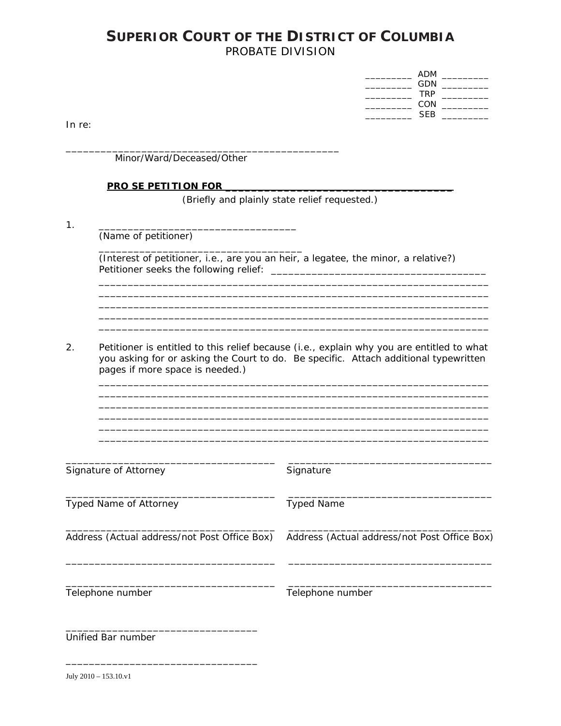## **SUPERIOR COURT OF THE DISTRICT OF COLUMBIA** PROBATE DIVISION

| ADM        |  |
|------------|--|
| <b>GDN</b> |  |
| <b>TRP</b> |  |
| CON        |  |
| <b>SEB</b> |  |

In  $re$ :

Minor/Ward/Deceased/Other

#### **PRO SE PETITION FOR THE REAL PROPER PROPER FOR THE REAL PROPER PROPER PROPER PROPER PROPER PROPER PROPER PROPER**

(Briefly and plainly state relief requested.)

 $1<sub>1</sub>$ 

(Name of petitioner)

(Interest of petitioner, i.e., are you an heir, a legatee, the minor, a relative?) 

<u> 2000 - 2000 - 2000 - 2000 - 2000 - 2000 - 2000 - 2000 - 2000 - 2000 - 2000 - 2000 - 2000 - 2000 - 2000 - 200</u>

 $2.$ Petitioner is entitled to this relief because (i.e., explain why you are entitled to what you asking for or asking the Court to do. Be specific. Attach additional typewritten pages if more space is needed.)

| Signature of Attorney                        | Signature                                    |
|----------------------------------------------|----------------------------------------------|
| <b>Typed Name of Attorney</b>                | <b>Typed Name</b>                            |
| Address (Actual address/not Post Office Box) | Address (Actual address/not Post Office Box) |
| Telephone number                             | Telephone number                             |
| Unified Bar number                           |                                              |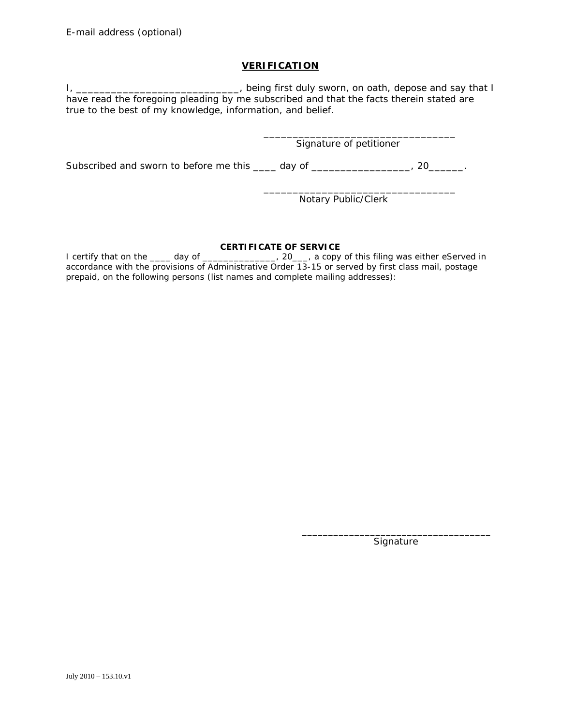### **VERIFICATION**

I, \_\_\_\_\_\_\_\_\_\_\_\_\_\_\_\_\_\_\_\_\_\_\_\_\_\_\_\_\_\_, being first duly sworn, on oath, depose and say that I have read the foregoing pleading by me subscribed and that the facts therein stated are true to the best of my knowledge, information, and belief.

Signature of petitioner

Subscribed and sworn to before me this \_\_\_\_ day of \_\_\_\_\_\_\_\_\_\_\_\_\_\_\_\_\_, 20\_\_\_\_\_\_.

 $\frac{1}{\sqrt{2}}$  ,  $\frac{1}{\sqrt{2}}$  ,  $\frac{1}{\sqrt{2}}$  ,  $\frac{1}{\sqrt{2}}$  ,  $\frac{1}{\sqrt{2}}$  ,  $\frac{1}{\sqrt{2}}$  ,  $\frac{1}{\sqrt{2}}$  ,  $\frac{1}{\sqrt{2}}$  ,  $\frac{1}{\sqrt{2}}$  ,  $\frac{1}{\sqrt{2}}$  ,  $\frac{1}{\sqrt{2}}$  ,  $\frac{1}{\sqrt{2}}$  ,  $\frac{1}{\sqrt{2}}$  ,  $\frac{1}{\sqrt{2}}$  ,  $\frac{1}{\sqrt{2}}$ 

 $\frac{1}{\sqrt{2}}$  , and the contract of the contract of the contract of the contract of the contract of the contract of the contract of the contract of the contract of the contract of the contract of the contract of the contra

Notary Public/Clerk

#### **CERTIFICATE OF SERVICE**

I certify that on the \_\_\_\_ day of \_\_\_\_\_\_\_\_\_\_\_\_\_\_, 20\_\_\_, a copy of this filing was either eServed in accordance with the provisions of Administrative Order 13-15 or served by first class mail, postage prepaid, on the following persons (list names and complete mailing addresses):

**Signature** 

 $\overline{\phantom{a}}$  ,  $\overline{\phantom{a}}$  ,  $\overline{\phantom{a}}$  ,  $\overline{\phantom{a}}$  ,  $\overline{\phantom{a}}$  ,  $\overline{\phantom{a}}$  ,  $\overline{\phantom{a}}$  ,  $\overline{\phantom{a}}$  ,  $\overline{\phantom{a}}$  ,  $\overline{\phantom{a}}$  ,  $\overline{\phantom{a}}$  ,  $\overline{\phantom{a}}$  ,  $\overline{\phantom{a}}$  ,  $\overline{\phantom{a}}$  ,  $\overline{\phantom{a}}$  ,  $\overline{\phantom{a}}$